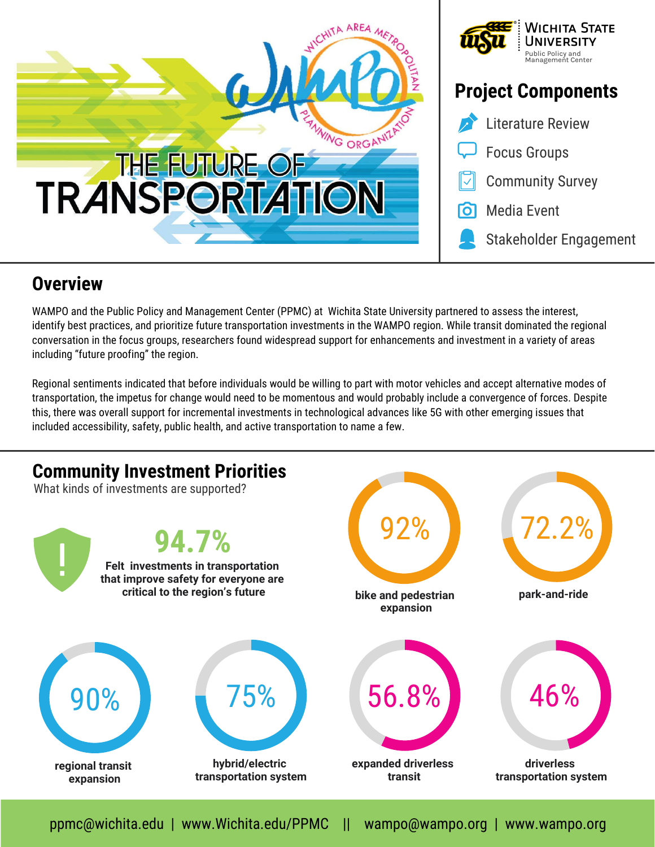



# **Project Components**



## **Overview**

WAMPO and the Public Policy and Management Center (PPMC) at Wichita State University partnered to assess the interest, identify best practices, and prioritize future transportation investments in the WAMPO region. While transit dominated the regional conversation in the focus groups, researchers found widespread support for enhancements and investment in a variety of areas including "future proofing" the region.

Regional sentiments indicated that before individuals would be willing to part with motor vehicles and accept alternative modes of transportation, the impetus for change would need to be momentous and would probably include a convergence of forces. Despite this, there was overall support for incremental investments in technological advances like 5G with other emerging issues that included accessibility, safety, public health, and active transportation to name a few.



ppmc@wichita.edu | www.Wichita.edu/PPMC || wampo@wampo.org | www.wampo.org